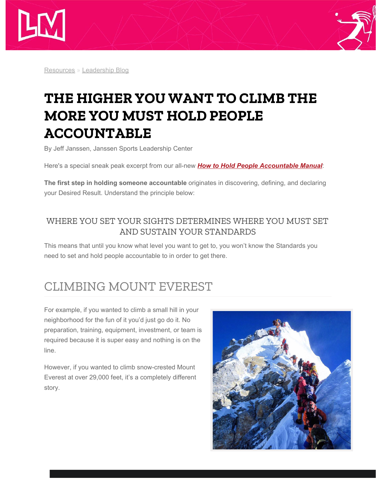



[Resources](http://www.janssensportsleadership.com/resources/) » [Leadership Blog](http://www.janssensportsleadership.com/resources/janssen-blog/)

# **THE HIGHER YOU WANT TO CLIMB THE MORE YOU MUST HOLD PEOPLE ACCOUNTABLE**

By Jeff Janssen, Janssen Sports Leadership Center

Here's a special sneak peak excerpt from our all-new *[How to Hold People Accountable Manual](http://www.janssensportsleadership.com/resources/how-to-hold-people-accountable-manual/)*:

**The first step in holding someone accountable** originates in discovering, defining, and declaring your Desired Result. Understand the principle below:

#### WHERE YOU SET YOUR SIGHTS DETERMINES WHERE YOU MUST SET AND SUSTAIN YOUR STANDARDS

This means that until you know what level you want to get to, you won't know the Standards you need to set and hold people accountable to in order to get there.

## CLIMBING MOUNT EVEREST

For example, if you wanted to climb a small hill in your neighborhood for the fun of it you'd just go do it. No preparation, training, equipment, investment, or team is required because it is super easy and nothing is on the line.

However, if you wanted to climb snow-crested Mount Everest at over 29,000 feet, it's a completely different story.

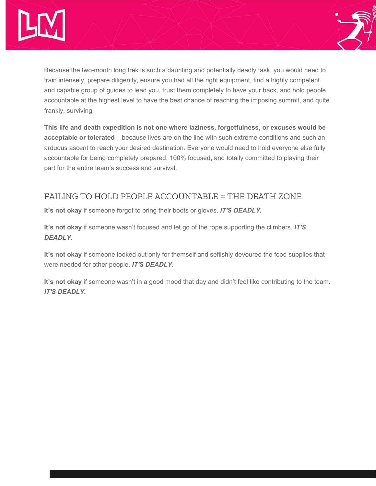



Because the two-month long trek is such a daunting and potentially deadly task, you would need to train intensely, prepare diligently, ensure you had all the right equipment, find a highly competent and capable group of guides to lead you, trust them completely to have your back, and hold people accountable at the highest level to have the best chance of reaching the imposing summit, and quite frankly, surviving.

**This life and death expedition is not one where laziness, forgetfulness, or excuses would be acceptable or tolerated** – because lives are on the line with such extreme conditions and such an arduous ascent to reach your desired destination. Everyone would need to hold everyone else fully accountable for being completely prepared, 100% focused, and totally committed to playing their part for the entire team's success and survival.

#### FAILING TO HOLD PEOPLE ACCOUNTABLE = THE DEATH ZONE

**It's not okay** if someone forgot to bring their boots or gloves. *IT'S DEADLY.*

**It's not okay** if someone wasn't focused and let go of the rope supporting the climbers. *IT'S DEADLY.*

**It's not okay** if someone looked out only for themself and seflishly devoured the food supplies that were needed for other people. *IT'S DEADLY.*

**It's not okay** if someone wasn't in a good mood that day and didn't feel like contributing to the team. *IT'S DEADLY.*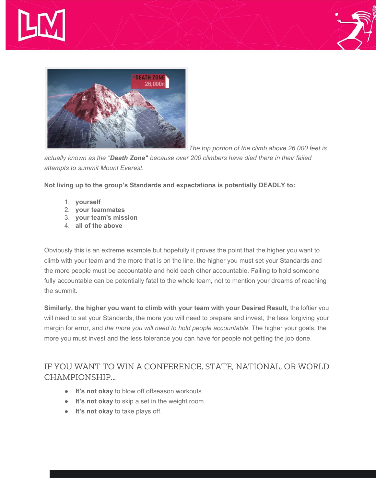





*The top portion of the climb above 26,000 feet is*

*actually known as the "Death Zone" because over 200 climbers have died there in their failed attempts to summit Mount Everest.*

**Not living up to the group's Standards and expectations is potentially DEADLY to:**

- 1. **yourself**
- 2. **your teammates**
- 3. **your team's mission**
- 4. **all of the above**

Obviously this is an extreme example but hopefully it proves the point that the higher you want to climb with your team and the more that is on the line, the higher you must set your Standards and the more people must be accountable and hold each other accountable. Failing to hold someone fully accountable can be potentially fatal to the whole team, not to mention your dreams of reaching the summit.

**Similarly, the higher you want to climb with your team with your Desired Result**, the loftier you will need to set your Standards, the more you will need to prepare and invest, the less forgiving your margin for error, and *the more you will need to hold people accountable*. The higher your goals, the more you must invest and the less tolerance you can have for people not getting the job done.

### IF YOU WANT TO WIN A CONFERENCE, STATE, NATIONAL, OR WORLD CHAMPIONSHIP…

- **It's not okay** to blow off offseason workouts.
- **It's not okay** to skip a set in the weight room.
- **It's not okay** to take plays off.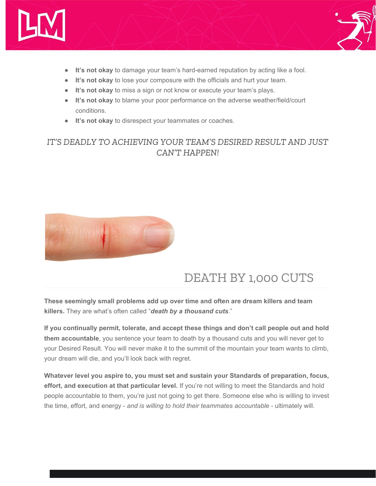



- **It's not okay** to damage your team's hard-earned reputation by acting like a fool.
- **It's not okay** to lose your composure with the officials and hurt your team.
- **It's not okay** to miss a sign or not know or execute your team's plays.
- **It's not okay** to blame your poor performance on the adverse weather/field/court conditions.
- **It's not okay** to disrespect your teammates or coaches.

#### *IT'S DEADLY TO ACHIEVING YOUR TEAM'S DESIRED RESULT AND JUST CAN'T HAPPEN!*



### DEATH BY 1,000 CUTS

**These seemingly small problems add up over time and often are dream killers and team killers.** They are what's often called "*death by a thousand cuts*."

**If you continually permit, tolerate, and accept these things and don't call people out and hold them accountable**, you sentence your team to death by a thousand cuts and you will never get to your Desired Result. You will never make it to the summit of the mountain your team wants to climb, your dream will die, and you'll look back with regret.

**Whatever level you aspire to, you must set and sustain your Standards of preparation, focus, effort, and execution at that particular level.** If you're not willing to meet the Standards and hold people accountable to them, you're just not going to get there. Someone else who is willing to invest the time, effort, and energy - *and is willing to hold their teammates accountable* - ultimately will.